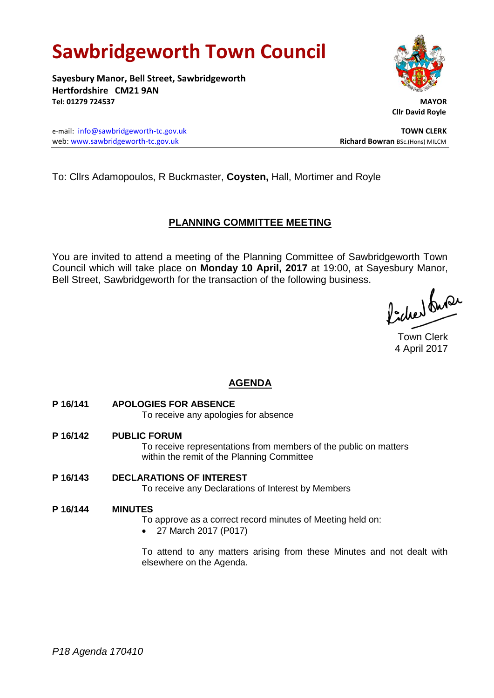# **Sawbridgeworth Town Council**

**Sayesbury Manor, Bell Street, Sawbridgeworth Hertfordshire CM21 9AN Tel: 01279 724537 MAYOR**

e-mail: [info@sawbridgeworth-tc.gov.uk](mailto:info@sawbridgeworth-tc.gov.uk) **TOWN CLERK** web: www.sawbridgeworth-tc.gov.uk **Richard Bowran** BSc.(Hons) MILCM

To: Cllrs Adamopoulos, R Buckmaster, **Coysten,** Hall, Mortimer and Royle

## **PLANNING COMMITTEE MEETING**

You are invited to attend a meeting of the Planning Committee of Sawbridgeworth Town Council which will take place on **Monday 10 April, 2017** at 19:00, at Sayesbury Manor, Bell Street, Sawbridgeworth for the transaction of the following business.

Picked fuse

Town Clerk 4 April 2017

## **AGENDA**

**P 16/141 APOLOGIES FOR ABSENCE**

To receive any apologies for absence

**P 16/142 PUBLIC FORUM** To receive representations from members of the public on matters within the remit of the Planning Committee

**P 16/143 DECLARATIONS OF INTEREST** To receive any Declarations of Interest by Members

#### **P 16/144 MINUTES**

To approve as a correct record minutes of Meeting held on:

• 27 March 2017 (P017)

To attend to any matters arising from these Minutes and not dealt with elsewhere on the Agenda.



 **Cllr David Royle**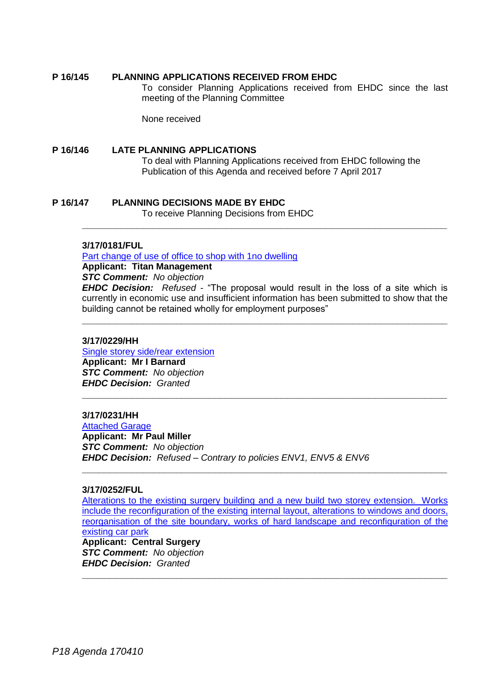#### **P 16/145 PLANNING APPLICATIONS RECEIVED FROM EHDC**

To consider Planning Applications received from EHDC since the last meeting of the Planning Committee

None received

#### **P 16/146 LATE PLANNING APPLICATIONS**

To deal with Planning Applications received from EHDC following the Publication of this Agenda and received before 7 April 2017

### **P 16/147 PLANNING DECISIONS MADE BY EHDC**

To receive Planning Decisions from EHDC

#### **3/17/0181/FUL**

[Part change of use of office to shop with 1no dwelling](https://publicaccess.eastherts.gov.uk/online-applications/applicationDetails.do?activeTab=summary&keyVal=OKC2D5GL00700)

**Applicant: Titan Management**

#### *STC Comment: No objection*

*EHDC Decision: Refused -* "The proposal would result in the loss of a site which is currently in economic use and insufficient information has been submitted to show that the building cannot be retained wholly for employment purposes"

**\_\_\_\_\_\_\_\_\_\_\_\_\_\_\_\_\_\_\_\_\_\_\_\_\_\_\_\_\_\_\_\_\_\_\_\_\_\_\_\_\_\_\_\_\_\_\_\_\_\_\_\_\_\_\_\_\_\_\_\_\_\_\_\_\_\_**

**\_\_\_\_\_\_\_\_\_\_\_\_\_\_\_\_\_\_\_\_\_\_\_\_\_\_\_\_\_\_\_\_\_\_\_\_\_\_\_\_\_\_\_\_\_\_\_\_\_\_\_\_\_\_\_\_\_\_\_\_\_\_\_\_\_\_**

**\_\_\_\_\_\_\_\_\_\_\_\_\_\_\_\_\_\_\_\_\_\_\_\_\_\_\_\_\_\_\_\_\_\_\_\_\_\_\_\_\_\_\_\_\_\_\_\_\_\_\_\_\_\_\_\_\_\_\_\_\_\_\_\_\_\_**

#### **3/17/0229/HH**

[Single storey side/rear extension](https://publicaccess.eastherts.gov.uk/online-applications/applicationDetails.do?activeTab=summary&keyVal=OKLM8DGL00X00)

**Applicant: Mr I Barnard** *STC Comment: No objection EHDC Decision: Granted* 

## **3/17/0231/HH**

**[Attached Garage](https://publicaccess.eastherts.gov.uk/online-applications/applicationDetails.do?activeTab=summary&keyVal=OKLOKCGLN3T00) Applicant: Mr Paul Miller** *STC Comment: No objection EHDC Decision: Refused – Contrary to policies ENV1, ENV5 & ENV6*

#### **3/17/0252/FUL**

[Alterations to the existing surgery building and a new build two storey extension. Works](https://publicaccess.eastherts.gov.uk/online-applications/applicationDetails.do?activeTab=summary&keyVal=OKP2WEGLN4V00)  [include the reconfiguration of the existing internal layout, alterations](https://publicaccess.eastherts.gov.uk/online-applications/applicationDetails.do?activeTab=summary&keyVal=OKP2WEGLN4V00) to windows and doors, [reorganisation of the site boundary, works of hard landscape](https://publicaccess.eastherts.gov.uk/online-applications/applicationDetails.do?activeTab=summary&keyVal=OKP2WEGLN4V00) and reconfiguration of the [existing car park](https://publicaccess.eastherts.gov.uk/online-applications/applicationDetails.do?activeTab=summary&keyVal=OKP2WEGLN4V00) **Applicant: Central Surgery**

**\_\_\_\_\_\_\_\_\_\_\_\_\_\_\_\_\_\_\_\_\_\_\_\_\_\_\_\_\_\_\_\_\_\_\_\_\_\_\_\_\_\_\_\_\_\_\_\_\_\_\_\_\_\_\_\_\_\_\_\_\_\_\_\_\_\_**

*STC Comment: No objection EHDC Decision: Granted* **\_\_\_\_\_\_\_\_\_\_\_\_\_\_\_\_\_\_\_\_\_\_\_\_\_\_\_\_\_\_\_\_\_\_\_\_\_\_\_\_\_\_\_\_\_\_\_\_\_\_\_\_\_\_\_\_\_\_\_\_\_\_\_\_\_\_**